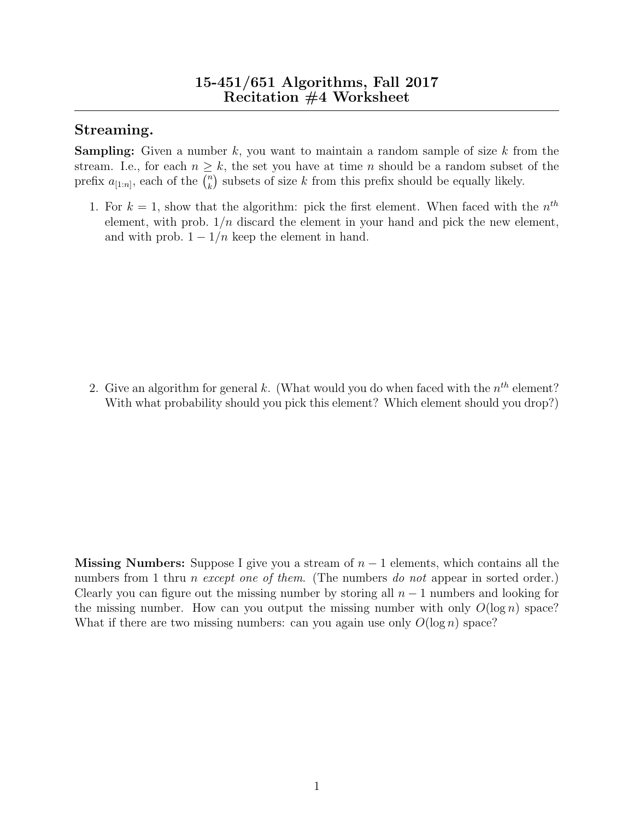## Streaming.

**Sampling:** Given a number k, you want to maintain a random sample of size k from the stream. I.e., for each  $n \geq k$ , the set you have at time n should be a random subset of the prefix  $a_{[1:n]}$ , each of the  $\binom{n}{k}$  $\binom{n}{k}$  subsets of size k from this prefix should be equally likely.

1. For  $k = 1$ , show that the algorithm: pick the first element. When faced with the  $n^{th}$ element, with prob.  $1/n$  discard the element in your hand and pick the new element, and with prob.  $1 - 1/n$  keep the element in hand.

2. Give an algorithm for general k. (What would you do when faced with the  $n^{th}$  element? With what probability should you pick this element? Which element should you drop?)

Missing Numbers: Suppose I give you a stream of  $n-1$  elements, which contains all the numbers from 1 thru *n* except one of them. (The numbers do not appear in sorted order.) Clearly you can figure out the missing number by storing all  $n-1$  numbers and looking for the missing number. How can you output the missing number with only  $O(\log n)$  space? What if there are two missing numbers: can you again use only  $O(\log n)$  space?